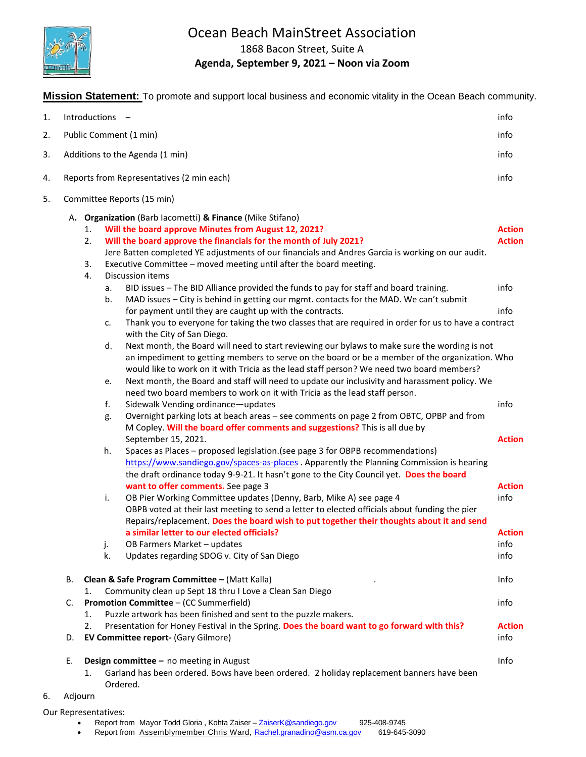

# Ocean Beach MainStreet Association

1868 Bacon Street, Suite A

### **Agenda, September 9, 2021 – Noon via Zoom**

**Mission Statement:** To promote and support local business and economic vitality in the Ocean Beach community.

| 1. |         | info<br>Introductions -                                                                                     |               |
|----|---------|-------------------------------------------------------------------------------------------------------------|---------------|
| 2. |         | Public Comment (1 min)<br>info                                                                              |               |
| 3. |         | Additions to the Agenda (1 min)<br>info                                                                     |               |
| 4. |         | Reports from Representatives (2 min each)<br>info                                                           |               |
| 5. |         | Committee Reports (15 min)                                                                                  |               |
|    |         | A. Organization (Barb lacometti) & Finance (Mike Stifano)                                                   |               |
|    |         | Will the board approve Minutes from August 12, 2021?<br>1.                                                  | <b>Action</b> |
|    |         | Will the board approve the financials for the month of July 2021?<br>2.                                     | <b>Action</b> |
|    |         | Jere Batten completed YE adjustments of our financials and Andres Garcia is working on our audit.           |               |
|    |         | Executive Committee - moved meeting until after the board meeting.<br>3.                                    |               |
|    |         | 4.<br>Discussion items                                                                                      |               |
|    |         | BID issues - The BID Alliance provided the funds to pay for staff and board training.<br>info<br>a.         |               |
|    |         | MAD issues - City is behind in getting our mgmt. contacts for the MAD. We can't submit<br>b.                |               |
|    |         | info<br>for payment until they are caught up with the contracts.                                            |               |
|    |         | Thank you to everyone for taking the two classes that are required in order for us to have a contract<br>c. |               |
|    |         | with the City of San Diego.                                                                                 |               |
|    |         | Next month, the Board will need to start reviewing our bylaws to make sure the wording is not<br>d.         |               |
|    |         | an impediment to getting members to serve on the board or be a member of the organization. Who              |               |
|    |         | would like to work on it with Tricia as the lead staff person? We need two board members?                   |               |
|    |         | Next month, the Board and staff will need to update our inclusivity and harassment policy. We<br>e.         |               |
|    |         | need two board members to work on it with Tricia as the lead staff person.                                  |               |
|    |         | f.<br>info<br>Sidewalk Vending ordinance-updates                                                            |               |
|    |         | Overnight parking lots at beach areas - see comments on page 2 from OBTC, OPBP and from<br>g.               |               |
|    |         | M Copley. Will the board offer comments and suggestions? This is all due by                                 |               |
|    |         | September 15, 2021.                                                                                         | <b>Action</b> |
|    |         | Spaces as Places - proposed legislation. (see page 3 for OBPB recommendations)<br>h.                        |               |
|    |         | https://www.sandiego.gov/spaces-as-places . Apparently the Planning Commission is hearing                   |               |
|    |         | the draft ordinance today 9-9-21. It hasn't gone to the City Council yet. Does the board                    |               |
|    |         | want to offer comments. See page 3                                                                          | <b>Action</b> |
|    |         | info<br>i.<br>OB Pier Working Committee updates (Denny, Barb, Mike A) see page 4                            |               |
|    |         | OBPB voted at their last meeting to send a letter to elected officials about funding the pier               |               |
|    |         | Repairs/replacement. Does the board wish to put together their thoughts about it and send                   |               |
|    |         | a similar letter to our elected officials?                                                                  | <b>Action</b> |
|    |         | OB Farmers Market - updates<br>info<br>j.                                                                   |               |
|    |         | k.<br>Updates regarding SDOG v. City of San Diego<br>info                                                   |               |
|    | В.      | Clean & Safe Program Committee - (Matt Kalla)<br>Info                                                       |               |
|    |         | Community clean up Sept 18 thru I Love a Clean San Diego<br>1.                                              |               |
|    | C.      | <b>Promotion Committee - (CC Summerfield)</b><br>info                                                       |               |
|    |         | Puzzle artwork has been finished and sent to the puzzle makers.<br>1.                                       |               |
|    |         | Presentation for Honey Festival in the Spring. Does the board want to go forward with this?<br>2.           | <b>Action</b> |
|    | D.      | EV Committee report- (Gary Gilmore)<br>info                                                                 |               |
|    | Е.      | Info<br>Design committee - no meeting in August                                                             |               |
|    |         | Garland has been ordered. Bows have been ordered. 2 holiday replacement banners have been<br>1.             |               |
|    |         | Ordered.                                                                                                    |               |
| 6. | Adjourn |                                                                                                             |               |
|    |         | Our Representatives:                                                                                        |               |
|    |         | Report from Mayor Todd Gloria, Kohta Zaiser - ZaiserK@sandiego.gov<br>925-408-9745                          |               |

• Report from Assemblymember Chris Ward, [Rachel.granadino@asm.ca.gov](mailto:Rachel.granadino@asm.ca.gov) 619-645-3090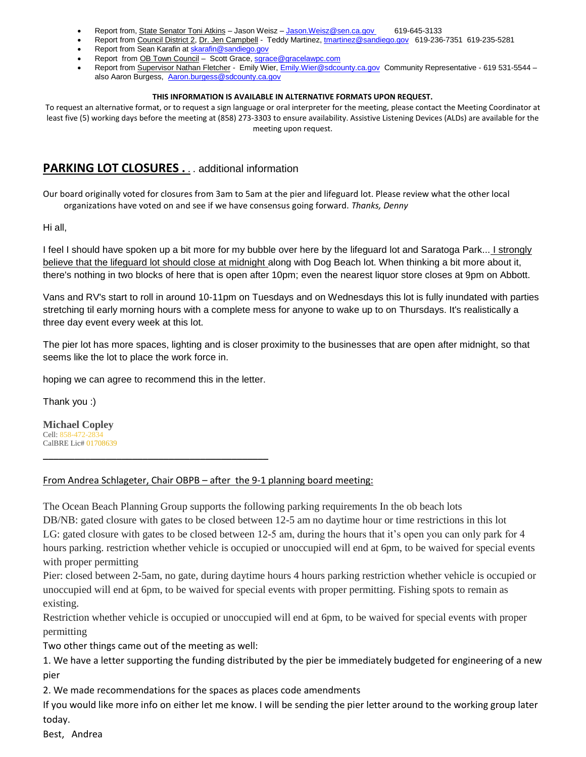- Report from, State Senator Toni Atkins Jason Weisz [Jason.Weisz@sen.ca.gov](mailto:Jason.Weisz@sen.ca.gov) 619-645-3133
- Report from Council District 2, Dr. Jen Campbell Teddy Martinez[, tmartinez@sandiego.gov](mailto:tmartinez@sandiego.gov) 619-236-7351 619-235-5281
- Report from Sean Karafin a[t skarafin@sandiego.gov](mailto:skarafin@sandiego.gov)
- Report from OB Town Council Scott Grace, [sgrace@gracelawpc.com](mailto:sgrace@gracelawpc.com)
- Report from Supervisor Nathan Fletcher Emily Wier, [Emily.Wier@sdcounty.ca.gov](mailto:Emily.Wier@sdcounty.ca.gov) Community Representative 619 531-5544 -also Aaron Burgess, [Aaron.burgess@sdcounty.ca.gov](mailto:Aaron.burgess@sdcounty.ca.gov)

#### **THIS INFORMATION IS AVAILABLE IN ALTERNATIVE FORMATS UPON REQUEST.**

To request an alternative format, or to request a sign language or oral interpreter for the meeting, please contact the Meeting Coordinator at least five (5) working days before the meeting at (858) 273-3303 to ensure availability. Assistive Listening Devices (ALDs) are available for the meeting upon request.

### **PARKING LOT CLOSURES .** . . additional information

Our board originally voted for closures from 3am to 5am at the pier and lifeguard lot. Please review what the other local organizations have voted on and see if we have consensus going forward. *Thanks, Denny*

Hi all,

I feel I should have spoken up a bit more for my bubble over here by the lifeguard lot and Saratoga Park... I strongly believe that the lifeguard lot should close at midnight along with Dog Beach lot. When thinking a bit more about it, there's nothing in two blocks of here that is open after 10pm; even the nearest liquor store closes at 9pm on Abbott.

Vans and RV's start to roll in around 10-11pm on Tuesdays and on Wednesdays this lot is fully inundated with parties stretching til early morning hours with a complete mess for anyone to wake up to on Thursdays. It's realistically a three day event every week at this lot.

The pier lot has more spaces, lighting and is closer proximity to the businesses that are open after midnight, so that seems like the lot to place the work force in.

hoping we can agree to recommend this in the letter.

\_\_\_\_\_\_\_\_\_\_\_\_\_\_\_\_\_\_\_\_\_\_\_\_\_\_\_\_\_\_\_\_\_\_\_\_\_\_\_\_\_\_\_

Thank you :)

**Michael Copley** Cell: 858-472-2834 CalBRE Lic# 01708639

#### From Andrea Schlageter, Chair OBPB - after the 9-1 planning board meeting:

The Ocean Beach Planning Group supports the following parking requirements In the ob beach lots

DB/NB: gated closure with gates to be closed between 12-5 am no daytime hour or time restrictions in this lot LG: gated closure with gates to be closed between 12-5 am, during the hours that it's open you can only park for 4 hours parking. restriction whether vehicle is occupied or unoccupied will end at 6pm, to be waived for special events with proper permitting

Pier: closed between 2-5am, no gate, during daytime hours 4 hours parking restriction whether vehicle is occupied or unoccupied will end at 6pm, to be waived for special events with proper permitting. Fishing spots to remain as existing.

Restriction whether vehicle is occupied or unoccupied will end at 6pm, to be waived for special events with proper permitting

Two other things came out of the meeting as well:

1. We have a letter supporting the funding distributed by the pier be immediately budgeted for engineering of a new pier

2. We made recommendations for the spaces as places code amendments

If you would like more info on either let me know. I will be sending the pier letter around to the working group later today.

Best, Andrea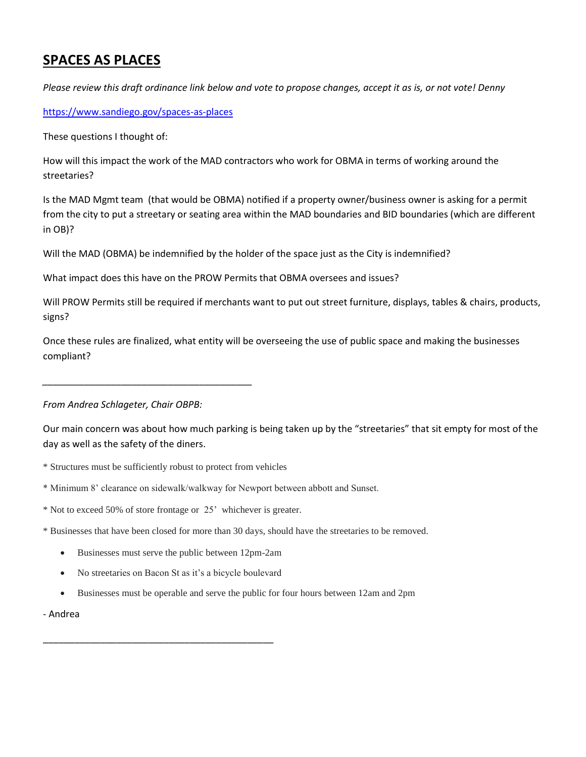# **SPACES AS PLACES**

*Please review this draft ordinance link below and vote to propose changes, accept it as is, or not vote! Denny*

<https://www.sandiego.gov/spaces-as-places>

These questions I thought of:

How will this impact the work of the MAD contractors who work for OBMA in terms of working around the streetaries?

Is the MAD Mgmt team (that would be OBMA) notified if a property owner/business owner is asking for a permit from the city to put a streetary or seating area within the MAD boundaries and BID boundaries (which are different in OB)?

Will the MAD (OBMA) be indemnified by the holder of the space just as the City is indemnified?

What impact does this have on the PROW Permits that OBMA oversees and issues?

Will PROW Permits still be required if merchants want to put out street furniture, displays, tables & chairs, products, signs?

Once these rules are finalized, what entity will be overseeing the use of public space and making the businesses compliant?

*From Andrea Schlageter, Chair OBPB:*

*\_\_\_\_\_\_\_\_\_\_\_\_\_\_\_\_\_\_\_\_\_\_\_\_\_\_\_\_\_\_\_\_\_\_\_\_\_\_\_\_*

Our main concern was about how much parking is being taken up by the "streetaries" that sit empty for most of the day as well as the safety of the diners.

- \* Structures must be sufficiently robust to protect from vehicles
- \* Minimum 8' clearance on sidewalk/walkway for Newport between abbott and Sunset.

\* Not to exceed 50% of store frontage or 25' whichever is greater.

\* Businesses that have been closed for more than 30 days, should have the streetaries to be removed.

- Businesses must serve the public between 12pm-2am
- No streetaries on Bacon St as it's a bicycle boulevard

\_\_\_\_\_\_\_\_\_\_\_\_\_\_\_\_\_\_\_\_\_\_\_\_\_\_\_\_\_\_\_\_\_\_\_\_\_\_\_\_\_\_\_\_

Businesses must be operable and serve the public for four hours between 12am and 2pm

- Andrea